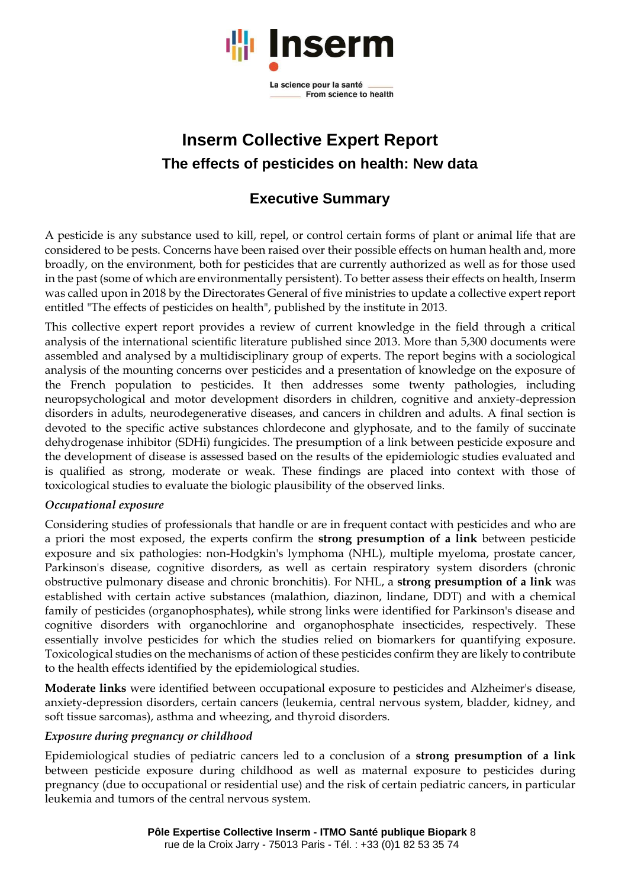

# **Inserm Collective Expert Report The effects of pesticides on health: New data**

## **Executive Summary**

A pesticide is any substance used to kill, repel, or control certain forms of plant or animal life that are considered to be pests. Concerns have been raised over their possible effects on human health and, more broadly, on the environment, both for pesticides that are currently authorized as well as for those used in the past (some of which are environmentally persistent). To better assess their effects on health, Inserm was called upon in 2018 by the Directorates General of five ministries to update a collective expert report entitled "The effects of pesticides on health", published by the institute in 2013.

This collective expert report provides a review of current knowledge in the field through a critical analysis of the international scientific literature published since 2013. More than 5,300 documents were assembled and analysed by a multidisciplinary group of experts. The report begins with a sociological analysis of the mounting concerns over pesticides and a presentation of knowledge on the exposure of the French population to pesticides. It then addresses some twenty pathologies, including neuropsychological and motor development disorders in children, cognitive and anxiety-depression disorders in adults, neurodegenerative diseases, and cancers in children and adults. A final section is devoted to the specific active substances chlordecone and glyphosate, and to the family of succinate dehydrogenase inhibitor (SDHi) fungicides. The presumption of a link between pesticide exposure and the development of disease is assessed based on the results of the epidemiologic studies evaluated and is qualified as strong, moderate or weak. These findings are placed into context with those of toxicological studies to evaluate the biologic plausibility of the observed links.

#### *Occupational exposure*

Considering studies of professionals that handle or are in frequent contact with pesticides and who are a priori the most exposed, the experts confirm the **strong presumption of a link** between pesticide exposure and six pathologies: non-Hodgkin's lymphoma (NHL), multiple myeloma, prostate cancer, Parkinson's disease, cognitive disorders, as well as certain respiratory system disorders (chronic obstructive pulmonary disease and chronic bronchitis). For NHL, a **strong presumption of a link** was established with certain active substances (malathion, diazinon, lindane, DDT) and with a chemical family of pesticides (organophosphates), while strong links were identified for Parkinson's disease and cognitive disorders with organochlorine and organophosphate insecticides, respectively. These essentially involve pesticides for which the studies relied on biomarkers for quantifying exposure. Toxicological studies on the mechanisms of action of these pesticides confirm they are likely to contribute to the health effects identified by the epidemiological studies.

**Moderate links** were identified between occupational exposure to pesticides and Alzheimer's disease, anxiety-depression disorders, certain cancers (leukemia, central nervous system, bladder, kidney, and soft tissue sarcomas), asthma and wheezing, and thyroid disorders.

#### *Exposure during pregnancy or childhood*

Epidemiological studies of pediatric cancers led to a conclusion of a **strong presumption of a link** between pesticide exposure during childhood as well as maternal exposure to pesticides during pregnancy (due to occupational or residential use) and the risk of certain pediatric cancers, in particular leukemia and tumors of the central nervous system.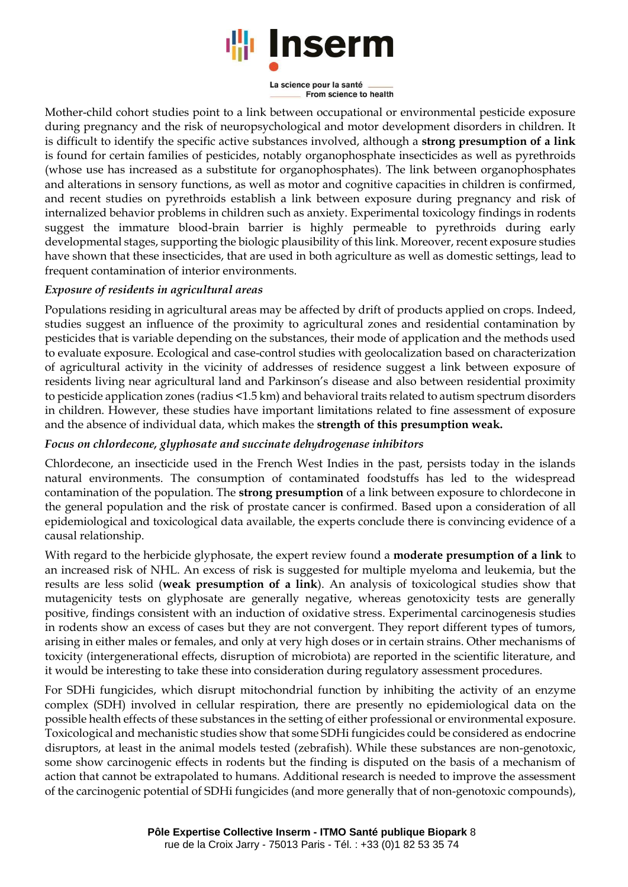

La science pour la santé From science to health

Mother-child cohort studies point to a link between occupational or environmental pesticide exposure during pregnancy and the risk of neuropsychological and motor development disorders in children. It is difficult to identify the specific active substances involved, although a **strong presumption of a link** is found for certain families of pesticides, notably organophosphate insecticides as well as pyrethroids (whose use has increased as a substitute for organophosphates). The link between organophosphates and alterations in sensory functions, as well as motor and cognitive capacities in children is confirmed, and recent studies on pyrethroids establish a link between exposure during pregnancy and risk of internalized behavior problems in children such as anxiety. Experimental toxicology findings in rodents suggest the immature blood-brain barrier is highly permeable to pyrethroids during early developmental stages, supporting the biologic plausibility of this link. Moreover, recent exposure studies have shown that these insecticides, that are used in both agriculture as well as domestic settings, lead to frequent contamination of interior environments.

### *Exposure of residents in agricultural areas*

Populations residing in agricultural areas may be affected by drift of products applied on crops. Indeed, studies suggest an influence of the proximity to agricultural zones and residential contamination by pesticides that is variable depending on the substances, their mode of application and the methods used to evaluate exposure. Ecological and case-control studies with geolocalization based on characterization of agricultural activity in the vicinity of addresses of residence suggest a link between exposure of residents living near agricultural land and Parkinson's disease and also between residential proximity to pesticide application zones (radius <1.5 km) and behavioral traits related to autism spectrum disorders in children. However, these studies have important limitations related to fine assessment of exposure and the absence of individual data, which makes the **strength of this presumption weak.**

#### *Focus on chlordecone, glyphosate and succinate dehydrogenase inhibitors*

Chlordecone, an insecticide used in the French West Indies in the past, persists today in the islands natural environments. The consumption of contaminated foodstuffs has led to the widespread contamination of the population. The **strong presumption** of a link between exposure to chlordecone in the general population and the risk of prostate cancer is confirmed. Based upon a consideration of all epidemiological and toxicological data available, the experts conclude there is convincing evidence of a causal relationship.

With regard to the herbicide glyphosate, the expert review found a **moderate presumption of a link** to an increased risk of NHL. An excess of risk is suggested for multiple myeloma and leukemia, but the results are less solid (**weak presumption of a link**). An analysis of toxicological studies show that mutagenicity tests on glyphosate are generally negative, whereas genotoxicity tests are generally positive, findings consistent with an induction of oxidative stress. Experimental carcinogenesis studies in rodents show an excess of cases but they are not convergent. They report different types of tumors, arising in either males or females, and only at very high doses or in certain strains. Other mechanisms of toxicity (intergenerational effects, disruption of microbiota) are reported in the scientific literature, and it would be interesting to take these into consideration during regulatory assessment procedures.

For SDHi fungicides, which disrupt mitochondrial function by inhibiting the activity of an enzyme complex (SDH) involved in cellular respiration, there are presently no epidemiological data on the possible health effects of these substances in the setting of either professional or environmental exposure. Toxicological and mechanistic studies show that some SDHi fungicides could be considered as endocrine disruptors, at least in the animal models tested (zebrafish). While these substances are non-genotoxic, some show carcinogenic effects in rodents but the finding is disputed on the basis of a mechanism of action that cannot be extrapolated to humans. Additional research is needed to improve the assessment of the carcinogenic potential of SDHi fungicides (and more generally that of non-genotoxic compounds),